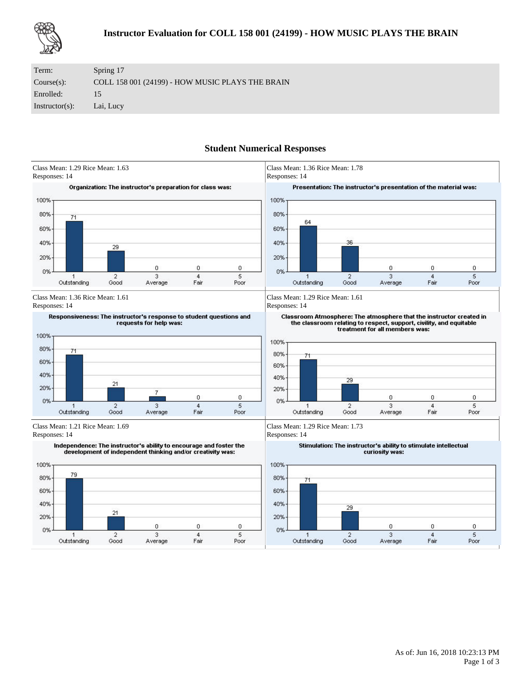

| Term:             | Spring 17                                        |
|-------------------|--------------------------------------------------|
| Course(s):        | COLL 158 001 (24199) - HOW MUSIC PLAYS THE BRAIN |
| Enrolled:         | 15.                                              |
| $Instructor(s)$ : | Lai, Lucy                                        |

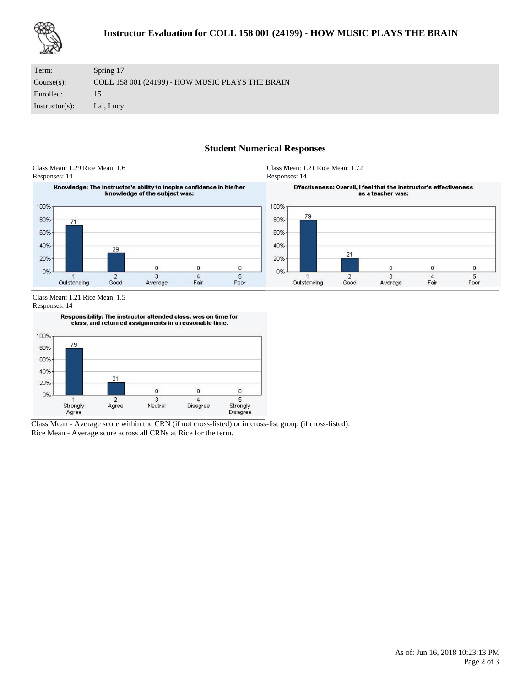

| Term:             | Spring 17                                        |
|-------------------|--------------------------------------------------|
| Course(s):        | COLL 158 001 (24199) - HOW MUSIC PLAYS THE BRAIN |
| Enrolled:         | 15                                               |
| $Instructor(s)$ : | Lai, Lucy                                        |



Class Mean - Average score within the CRN (if not cross-listed) or in cross-list group (if cross-listed). Rice Mean - Average score across all CRNs at Rice for the term.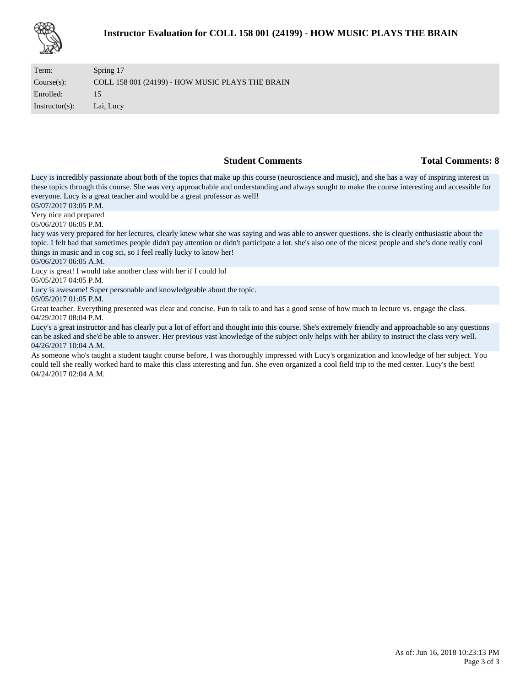

| Term:             | Spring 17                                        |
|-------------------|--------------------------------------------------|
| Course(s):        | COLL 158 001 (24199) - HOW MUSIC PLAYS THE BRAIN |
| Enrolled:         | 15                                               |
| $Instructor(s)$ : | Lai, Lucy                                        |

### **Student Comments Total Comments: 8**

Lucy is incredibly passionate about both of the topics that make up this course (neuroscience and music), and she has a way of inspiring interest in these topics through this course. She was very approachable and understanding and always sought to make the course interesting and accessible for everyone. Lucy is a great teacher and would be a great professor as well!

05/07/2017 03:05 P.M.

Very nice and prepared

05/06/2017 06:05 P.M.

lucy was very prepared for her lectures, clearly knew what she was saying and was able to answer questions. she is clearly enthusiastic about the topic. I felt bad that sometimes people didn't pay attention or didn't participate a lot. she's also one of the nicest people and she's done really cool things in music and in cog sci, so I feel really lucky to know her!

05/06/2017 06:05 A.M.

Lucy is great! I would take another class with her if I could lol

05/05/2017 04:05 P.M.

Lucy is awesome! Super personable and knowledgeable about the topic.

05/05/2017 01:05 P.M.

Great teacher. Everything presented was clear and concise. Fun to talk to and has a good sense of how much to lecture vs. engage the class. 04/29/2017 08:04 P.M.

Lucy's a great instructor and has clearly put a lot of effort and thought into this course. She's extremely friendly and approachable so any questions can be asked and she'd be able to answer. Her previous vast knowledge of the subject only helps with her ability to instruct the class very well. 04/26/2017 10:04 A.M.

As someone who's taught a student taught course before, I was thoroughly impressed with Lucy's organization and knowledge of her subject. You could tell she really worked hard to make this class interesting and fun. She even organized a cool field trip to the med center. Lucy's the best! 04/24/2017 02:04 A.M.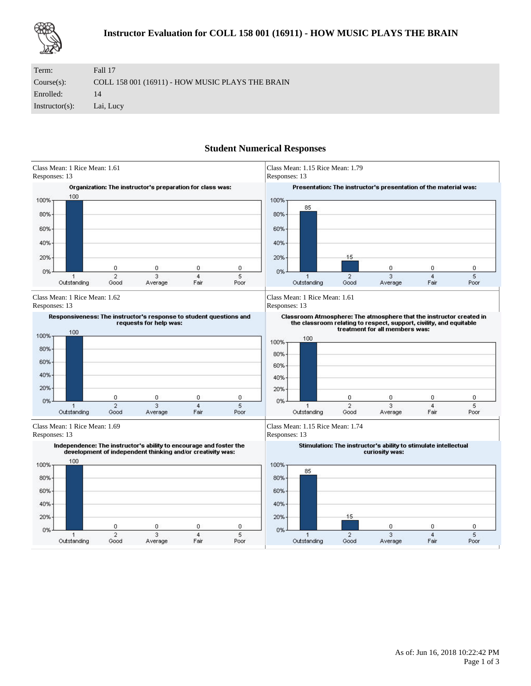

| Term:             | Fall 17                                          |
|-------------------|--------------------------------------------------|
| Course(s):        | COLL 158 001 (16911) - HOW MUSIC PLAYS THE BRAIN |
| Enrolled:         | 14                                               |
| $Instructor(s)$ : | Lai, Lucy                                        |

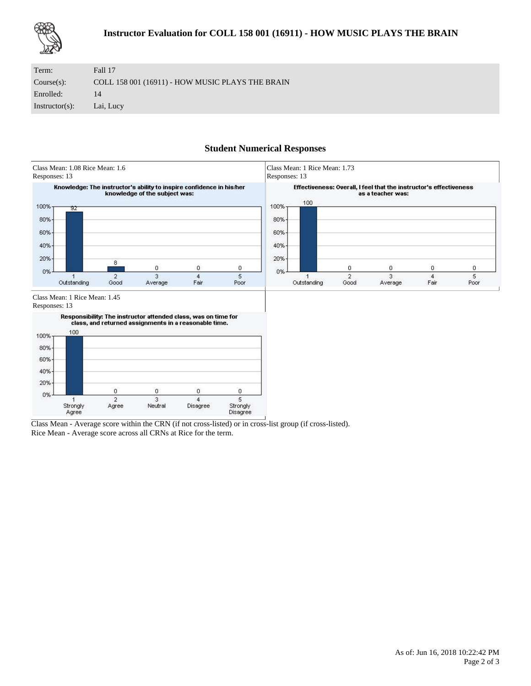

| Term:             | Fall 17                                          |
|-------------------|--------------------------------------------------|
| Course(s):        | COLL 158 001 (16911) - HOW MUSIC PLAYS THE BRAIN |
| Enrolled:         | 14                                               |
| $Instructor(s)$ : | Lai, Lucy                                        |



Class Mean - Average score within the CRN (if not cross-listed) or in cross-list group (if cross-listed). Rice Mean - Average score across all CRNs at Rice for the term.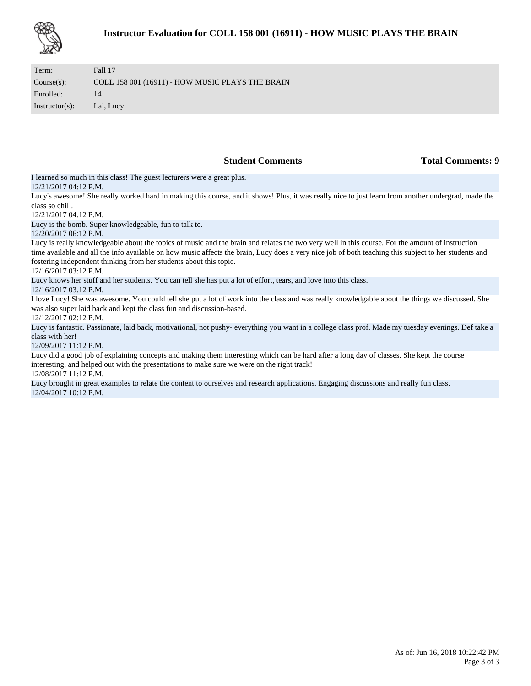| Term:             | Fall 17                                          |
|-------------------|--------------------------------------------------|
| Course(s):        | COLL 158 001 (16911) - HOW MUSIC PLAYS THE BRAIN |
| Enrolled:         | 14                                               |
| $Instructor(s)$ : | Lai, Lucy                                        |

**Student Comments Total Comments: 9** 

I learned so much in this class! The guest lecturers were a great plus.

## 12/21/2017 04:12 P.M.

Lucy's awesome! She really worked hard in making this course, and it shows! Plus, it was really nice to just learn from another undergrad, made the class so chill.

12/21/2017 04:12 P.M.

Lucy is the bomb. Super knowledgeable, fun to talk to.

### 12/20/2017 06:12 P.M.

Lucy is really knowledgeable about the topics of music and the brain and relates the two very well in this course. For the amount of instruction time available and all the info available on how music affects the brain, Lucy does a very nice job of both teaching this subject to her students and fostering independent thinking from her students about this topic.

### 12/16/2017 03:12 P.M.

Lucy knows her stuff and her students. You can tell she has put a lot of effort, tears, and love into this class.

### 12/16/2017 03:12 P.M.

I love Lucy! She was awesome. You could tell she put a lot of work into the class and was really knowledgable about the things we discussed. She was also super laid back and kept the class fun and discussion-based.

### 12/12/2017 02:12 P.M.

Lucy is fantastic. Passionate, laid back, motivational, not pushy- everything you want in a college class prof. Made my tuesday evenings. Def take a class with her!

#### 12/09/2017 11:12 P.M.

Lucy did a good job of explaining concepts and making them interesting which can be hard after a long day of classes. She kept the course interesting, and helped out with the presentations to make sure we were on the right track!

#### 12/08/2017 11:12 P.M.

Lucy brought in great examples to relate the content to ourselves and research applications. Engaging discussions and really fun class. 12/04/2017 10:12 P.M.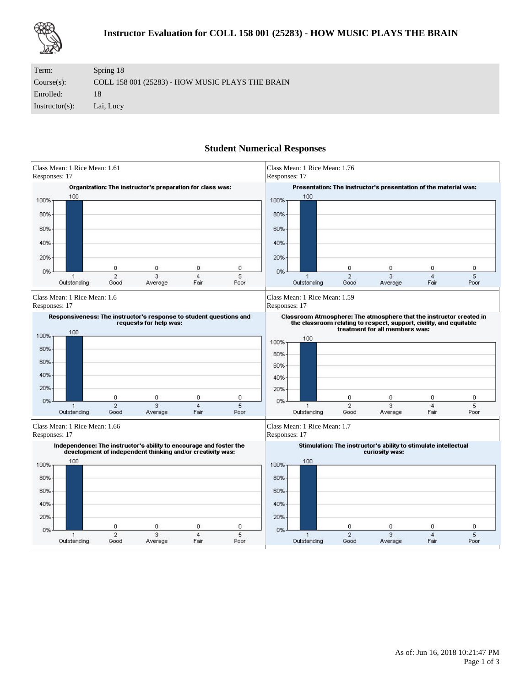

| Term:             | Spring 18                                        |
|-------------------|--------------------------------------------------|
| Course(s):        | COLL 158 001 (25283) - HOW MUSIC PLAYS THE BRAIN |
| Enrolled:         | 18                                               |
| $Instructor(s)$ : | Lai, Lucy                                        |

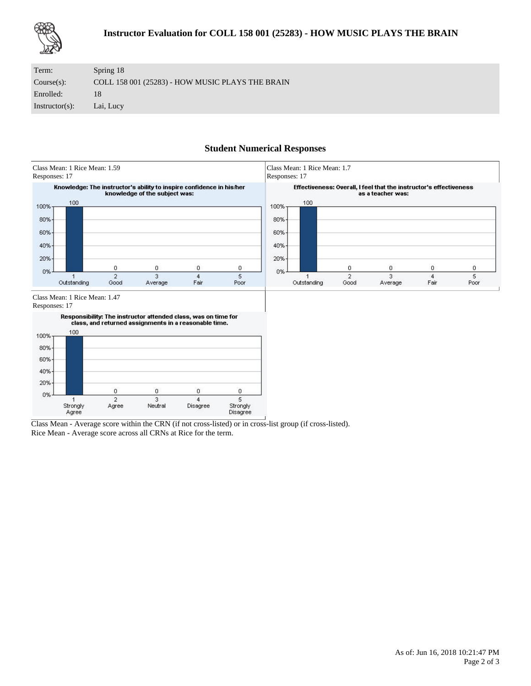

| Term:             | Spring 18                                        |
|-------------------|--------------------------------------------------|
| Course(s):        | COLL 158 001 (25283) - HOW MUSIC PLAYS THE BRAIN |
| Enrolled:         | 18                                               |
| $Instructor(s)$ : | Lai, Lucy                                        |



Class Mean - Average score within the CRN (if not cross-listed) or in cross-list group (if cross-listed). Rice Mean - Average score across all CRNs at Rice for the term.